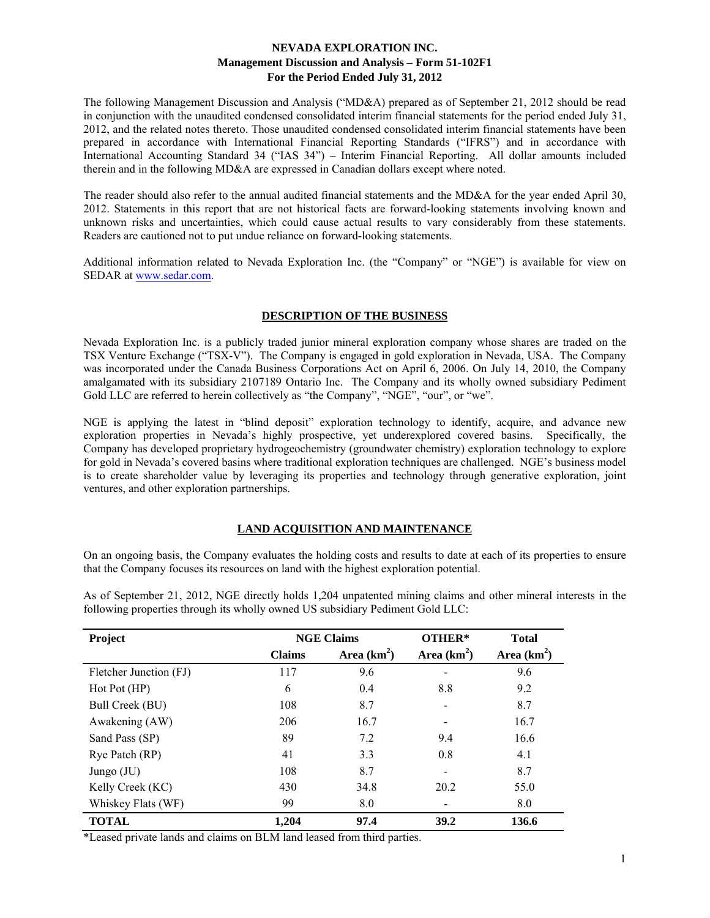The following Management Discussion and Analysis ("MD&A) prepared as of September 21, 2012 should be read in conjunction with the unaudited condensed consolidated interim financial statements for the period ended July 31, 2012, and the related notes thereto. Those unaudited condensed consolidated interim financial statements have been prepared in accordance with International Financial Reporting Standards ("IFRS") and in accordance with International Accounting Standard 34 ("IAS 34") – Interim Financial Reporting. All dollar amounts included therein and in the following MD&A are expressed in Canadian dollars except where noted.

The reader should also refer to the annual audited financial statements and the MD&A for the year ended April 30, 2012. Statements in this report that are not historical facts are forward-looking statements involving known and unknown risks and uncertainties, which could cause actual results to vary considerably from these statements. Readers are cautioned not to put undue reliance on forward-looking statements.

Additional information related to Nevada Exploration Inc. (the "Company" or "NGE") is available for view on SEDAR at www.sedar.com.

# **DESCRIPTION OF THE BUSINESS**

Nevada Exploration Inc. is a publicly traded junior mineral exploration company whose shares are traded on the TSX Venture Exchange ("TSX-V"). The Company is engaged in gold exploration in Nevada, USA. The Company was incorporated under the Canada Business Corporations Act on April 6, 2006. On July 14, 2010, the Company amalgamated with its subsidiary 2107189 Ontario Inc. The Company and its wholly owned subsidiary Pediment Gold LLC are referred to herein collectively as "the Company", "NGE", "our", or "we".

NGE is applying the latest in "blind deposit" exploration technology to identify, acquire, and advance new exploration properties in Nevada's highly prospective, yet underexplored covered basins. Specifically, the Company has developed proprietary hydrogeochemistry (groundwater chemistry) exploration technology to explore for gold in Nevada's covered basins where traditional exploration techniques are challenged. NGE's business model is to create shareholder value by leveraging its properties and technology through generative exploration, joint ventures, and other exploration partnerships.

## **LAND ACQUISITION AND MAINTENANCE**

On an ongoing basis, the Company evaluates the holding costs and results to date at each of its properties to ensure that the Company focuses its resources on land with the highest exploration potential.

| Project                |                                | <b>NGE Claims</b> | OTHER*        | <b>Total</b>  |  |
|------------------------|--------------------------------|-------------------|---------------|---------------|--|
|                        | Area $(km^2)$<br><b>Claims</b> |                   | Area $(km^2)$ | Area $(km^2)$ |  |
| Fletcher Junction (FJ) | 117                            | 9.6               |               | 9.6           |  |
| Hot Pot (HP)           | 6                              | 0.4               | 8.8           | 9.2           |  |
| Bull Creek (BU)        | 108                            | 8.7               |               | 8.7           |  |
| Awakening (AW)         | 206                            | 16.7              |               | 16.7          |  |
| Sand Pass (SP)         | 89                             | 7.2               | 9.4           | 16.6          |  |
| Rye Patch (RP)         | 41                             | 3.3               | 0.8           | 4.1           |  |
| Jungo $(JU)$           | 108                            | 8.7               |               | 8.7           |  |
| Kelly Creek (KC)       | 430                            | 34.8              | 20.2          | 55.0          |  |
| Whiskey Flats (WF)     | 99                             | 8.0               |               | 8.0           |  |
| <b>TOTAL</b>           | 1,204                          | 97.4              | 39.2          | 136.6         |  |

As of September 21, 2012, NGE directly holds 1,204 unpatented mining claims and other mineral interests in the following properties through its wholly owned US subsidiary Pediment Gold LLC:

\*Leased private lands and claims on BLM land leased from third parties.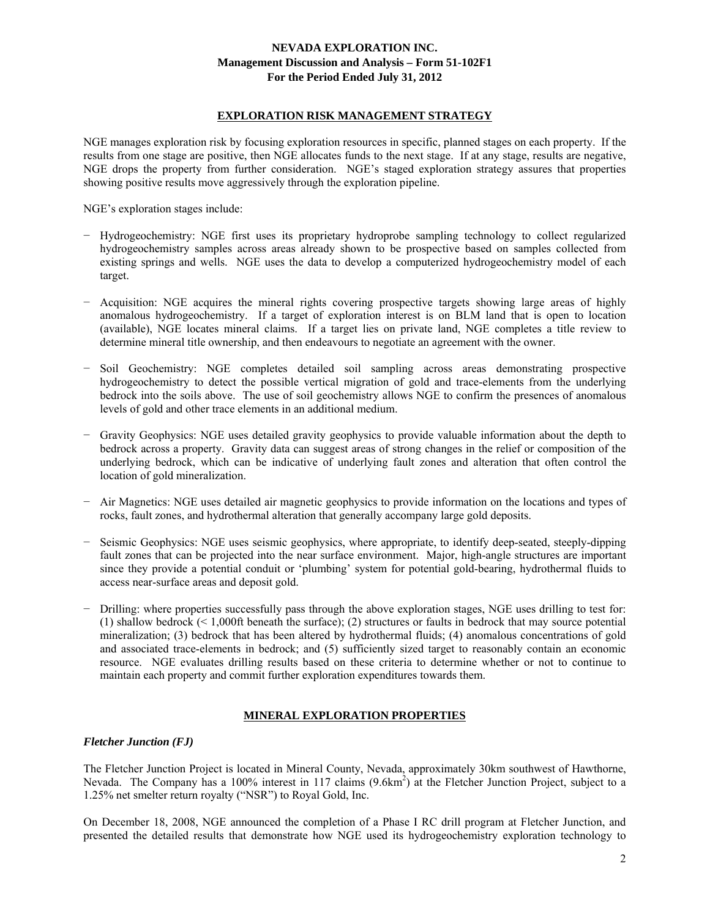#### **EXPLORATION RISK MANAGEMENT STRATEGY**

NGE manages exploration risk by focusing exploration resources in specific, planned stages on each property. If the results from one stage are positive, then NGE allocates funds to the next stage. If at any stage, results are negative, NGE drops the property from further consideration. NGE's staged exploration strategy assures that properties showing positive results move aggressively through the exploration pipeline.

NGE's exploration stages include:

- − Hydrogeochemistry: NGE first uses its proprietary hydroprobe sampling technology to collect regularized hydrogeochemistry samples across areas already shown to be prospective based on samples collected from existing springs and wells. NGE uses the data to develop a computerized hydrogeochemistry model of each target.
- − Acquisition: NGE acquires the mineral rights covering prospective targets showing large areas of highly anomalous hydrogeochemistry. If a target of exploration interest is on BLM land that is open to location (available), NGE locates mineral claims. If a target lies on private land, NGE completes a title review to determine mineral title ownership, and then endeavours to negotiate an agreement with the owner.
- − Soil Geochemistry: NGE completes detailed soil sampling across areas demonstrating prospective hydrogeochemistry to detect the possible vertical migration of gold and trace-elements from the underlying bedrock into the soils above. The use of soil geochemistry allows NGE to confirm the presences of anomalous levels of gold and other trace elements in an additional medium.
- − Gravity Geophysics: NGE uses detailed gravity geophysics to provide valuable information about the depth to bedrock across a property. Gravity data can suggest areas of strong changes in the relief or composition of the underlying bedrock, which can be indicative of underlying fault zones and alteration that often control the location of gold mineralization.
- − Air Magnetics: NGE uses detailed air magnetic geophysics to provide information on the locations and types of rocks, fault zones, and hydrothermal alteration that generally accompany large gold deposits.
- − Seismic Geophysics: NGE uses seismic geophysics, where appropriate, to identify deep-seated, steeply-dipping fault zones that can be projected into the near surface environment. Major, high-angle structures are important since they provide a potential conduit or 'plumbing' system for potential gold-bearing, hydrothermal fluids to access near-surface areas and deposit gold.
- − Drilling: where properties successfully pass through the above exploration stages, NGE uses drilling to test for: (1) shallow bedrock (< 1,000ft beneath the surface); (2) structures or faults in bedrock that may source potential mineralization; (3) bedrock that has been altered by hydrothermal fluids; (4) anomalous concentrations of gold and associated trace-elements in bedrock; and (5) sufficiently sized target to reasonably contain an economic resource. NGE evaluates drilling results based on these criteria to determine whether or not to continue to maintain each property and commit further exploration expenditures towards them.

## **MINERAL EXPLORATION PROPERTIES**

#### *Fletcher Junction (FJ)*

The Fletcher Junction Project is located in Mineral County, Nevada, approximately 30km southwest of Hawthorne, Nevada. The Company has a 100% interest in 117 claims (9.6km<sup>2</sup>) at the Fletcher Junction Project, subject to a 1.25% net smelter return royalty ("NSR") to Royal Gold, Inc.

On December 18, 2008, NGE announced the completion of a Phase I RC drill program at Fletcher Junction, and presented the detailed results that demonstrate how NGE used its hydrogeochemistry exploration technology to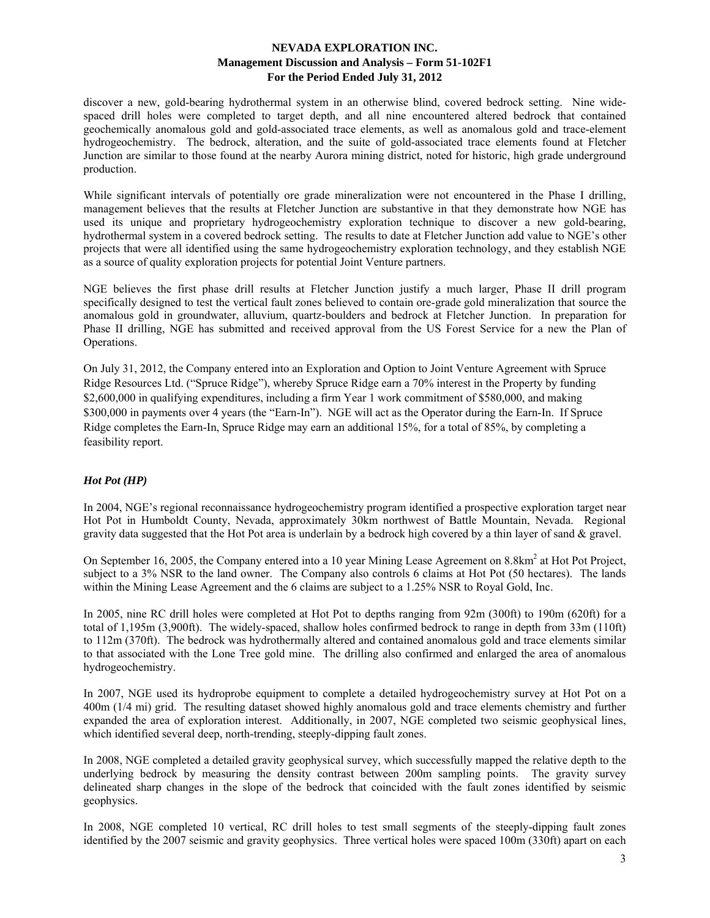discover a new, gold-bearing hydrothermal system in an otherwise blind, covered bedrock setting. Nine widespaced drill holes were completed to target depth, and all nine encountered altered bedrock that contained geochemically anomalous gold and gold-associated trace elements, as well as anomalous gold and trace-element hydrogeochemistry. The bedrock, alteration, and the suite of gold-associated trace elements found at Fletcher Junction are similar to those found at the nearby Aurora mining district, noted for historic, high grade underground production.

While significant intervals of potentially ore grade mineralization were not encountered in the Phase I drilling, management believes that the results at Fletcher Junction are substantive in that they demonstrate how NGE has used its unique and proprietary hydrogeochemistry exploration technique to discover a new gold-bearing, hydrothermal system in a covered bedrock setting. The results to date at Fletcher Junction add value to NGE's other projects that were all identified using the same hydrogeochemistry exploration technology, and they establish NGE as a source of quality exploration projects for potential Joint Venture partners.

NGE believes the first phase drill results at Fletcher Junction justify a much larger, Phase II drill program specifically designed to test the vertical fault zones believed to contain ore-grade gold mineralization that source the anomalous gold in groundwater, alluvium, quartz-boulders and bedrock at Fletcher Junction. In preparation for Phase II drilling, NGE has submitted and received approval from the US Forest Service for a new the Plan of Operations.

On July 31, 2012, the Company entered into an Exploration and Option to Joint Venture Agreement with Spruce Ridge Resources Ltd. ("Spruce Ridge"), whereby Spruce Ridge earn a 70% interest in the Property by funding \$2,600,000 in qualifying expenditures, including a firm Year 1 work commitment of \$580,000, and making \$300,000 in payments over 4 years (the "Earn-In"). NGE will act as the Operator during the Earn-In. If Spruce Ridge completes the Earn-In, Spruce Ridge may earn an additional 15%, for a total of 85%, by completing a feasibility report.

# *Hot Pot (HP)*

In 2004, NGE's regional reconnaissance hydrogeochemistry program identified a prospective exploration target near Hot Pot in Humboldt County, Nevada, approximately 30km northwest of Battle Mountain, Nevada. Regional gravity data suggested that the Hot Pot area is underlain by a bedrock high covered by a thin layer of sand & gravel.

On September 16, 2005, the Company entered into a 10 year Mining Lease Agreement on 8.8km<sup>2</sup> at Hot Pot Project, subject to a 3% NSR to the land owner. The Company also controls 6 claims at Hot Pot (50 hectares). The lands within the Mining Lease Agreement and the 6 claims are subject to a 1.25% NSR to Royal Gold, Inc.

In 2005, nine RC drill holes were completed at Hot Pot to depths ranging from 92m (300ft) to 190m (620ft) for a total of 1,195m (3,900ft). The widely-spaced, shallow holes confirmed bedrock to range in depth from 33m (110ft) to 112m (370ft). The bedrock was hydrothermally altered and contained anomalous gold and trace elements similar to that associated with the Lone Tree gold mine. The drilling also confirmed and enlarged the area of anomalous hydrogeochemistry.

In 2007, NGE used its hydroprobe equipment to complete a detailed hydrogeochemistry survey at Hot Pot on a 400m (1/4 mi) grid. The resulting dataset showed highly anomalous gold and trace elements chemistry and further expanded the area of exploration interest. Additionally, in 2007, NGE completed two seismic geophysical lines, which identified several deep, north-trending, steeply-dipping fault zones.

In 2008, NGE completed a detailed gravity geophysical survey, which successfully mapped the relative depth to the underlying bedrock by measuring the density contrast between 200m sampling points. The gravity survey delineated sharp changes in the slope of the bedrock that coincided with the fault zones identified by seismic geophysics.

In 2008, NGE completed 10 vertical, RC drill holes to test small segments of the steeply-dipping fault zones identified by the 2007 seismic and gravity geophysics. Three vertical holes were spaced 100m (330ft) apart on each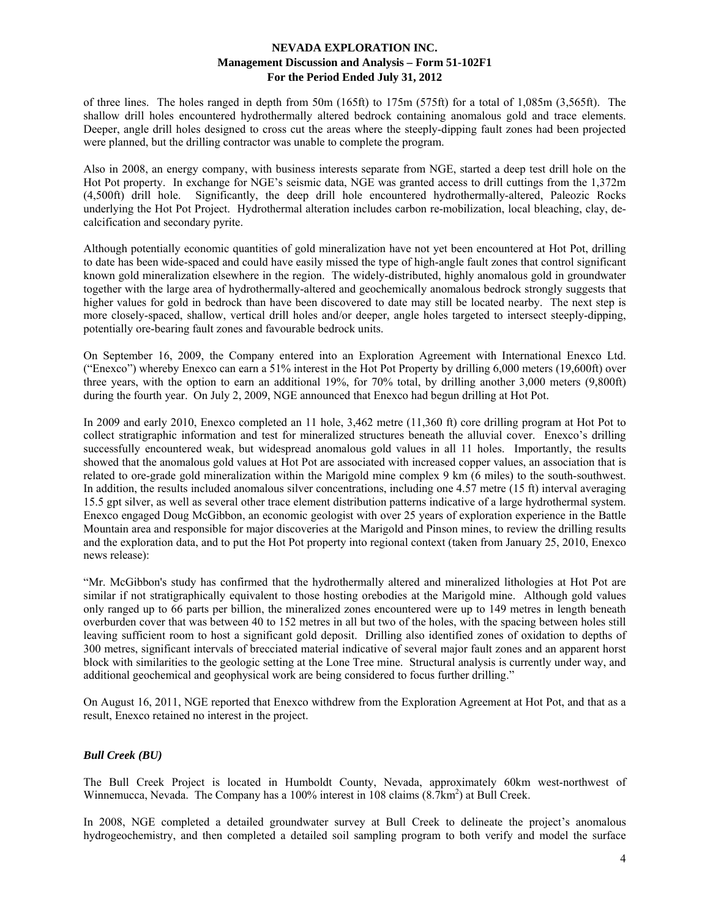of three lines. The holes ranged in depth from 50m (165ft) to 175m (575ft) for a total of 1,085m (3,565ft). The shallow drill holes encountered hydrothermally altered bedrock containing anomalous gold and trace elements. Deeper, angle drill holes designed to cross cut the areas where the steeply-dipping fault zones had been projected were planned, but the drilling contractor was unable to complete the program.

Also in 2008, an energy company, with business interests separate from NGE, started a deep test drill hole on the Hot Pot property. In exchange for NGE's seismic data, NGE was granted access to drill cuttings from the 1,372m (4,500ft) drill hole. Significantly, the deep drill hole encountered hydrothermally-altered, Paleozic Rocks underlying the Hot Pot Project. Hydrothermal alteration includes carbon re-mobilization, local bleaching, clay, decalcification and secondary pyrite.

Although potentially economic quantities of gold mineralization have not yet been encountered at Hot Pot, drilling to date has been wide-spaced and could have easily missed the type of high-angle fault zones that control significant known gold mineralization elsewhere in the region. The widely-distributed, highly anomalous gold in groundwater together with the large area of hydrothermally-altered and geochemically anomalous bedrock strongly suggests that higher values for gold in bedrock than have been discovered to date may still be located nearby. The next step is more closely-spaced, shallow, vertical drill holes and/or deeper, angle holes targeted to intersect steeply-dipping, potentially ore-bearing fault zones and favourable bedrock units.

On September 16, 2009, the Company entered into an Exploration Agreement with International Enexco Ltd. ("Enexco") whereby Enexco can earn a 51% interest in the Hot Pot Property by drilling 6,000 meters (19,600ft) over three years, with the option to earn an additional 19%, for 70% total, by drilling another 3,000 meters (9,800ft) during the fourth year. On July 2, 2009, NGE announced that Enexco had begun drilling at Hot Pot.

In 2009 and early 2010, Enexco completed an 11 hole, 3,462 metre (11,360 ft) core drilling program at Hot Pot to collect stratigraphic information and test for mineralized structures beneath the alluvial cover. Enexco's drilling successfully encountered weak, but widespread anomalous gold values in all 11 holes. Importantly, the results showed that the anomalous gold values at Hot Pot are associated with increased copper values, an association that is related to ore-grade gold mineralization within the Marigold mine complex 9 km (6 miles) to the south-southwest. In addition, the results included anomalous silver concentrations, including one 4.57 metre (15 ft) interval averaging 15.5 gpt silver, as well as several other trace element distribution patterns indicative of a large hydrothermal system. Enexco engaged Doug McGibbon, an economic geologist with over 25 years of exploration experience in the Battle Mountain area and responsible for major discoveries at the Marigold and Pinson mines, to review the drilling results and the exploration data, and to put the Hot Pot property into regional context (taken from January 25, 2010, Enexco news release):

"Mr. McGibbon's study has confirmed that the hydrothermally altered and mineralized lithologies at Hot Pot are similar if not stratigraphically equivalent to those hosting orebodies at the Marigold mine. Although gold values only ranged up to 66 parts per billion, the mineralized zones encountered were up to 149 metres in length beneath overburden cover that was between 40 to 152 metres in all but two of the holes, with the spacing between holes still leaving sufficient room to host a significant gold deposit. Drilling also identified zones of oxidation to depths of 300 metres, significant intervals of brecciated material indicative of several major fault zones and an apparent horst block with similarities to the geologic setting at the Lone Tree mine. Structural analysis is currently under way, and additional geochemical and geophysical work are being considered to focus further drilling."

On August 16, 2011, NGE reported that Enexco withdrew from the Exploration Agreement at Hot Pot, and that as a result, Enexco retained no interest in the project.

## *Bull Creek (BU)*

The Bull Creek Project is located in Humboldt County, Nevada, approximately 60km west-northwest of Winnemucca, Nevada. The Company has a 100% interest in 108 claims (8.7km<sup>2</sup>) at Bull Creek.

In 2008, NGE completed a detailed groundwater survey at Bull Creek to delineate the project's anomalous hydrogeochemistry, and then completed a detailed soil sampling program to both verify and model the surface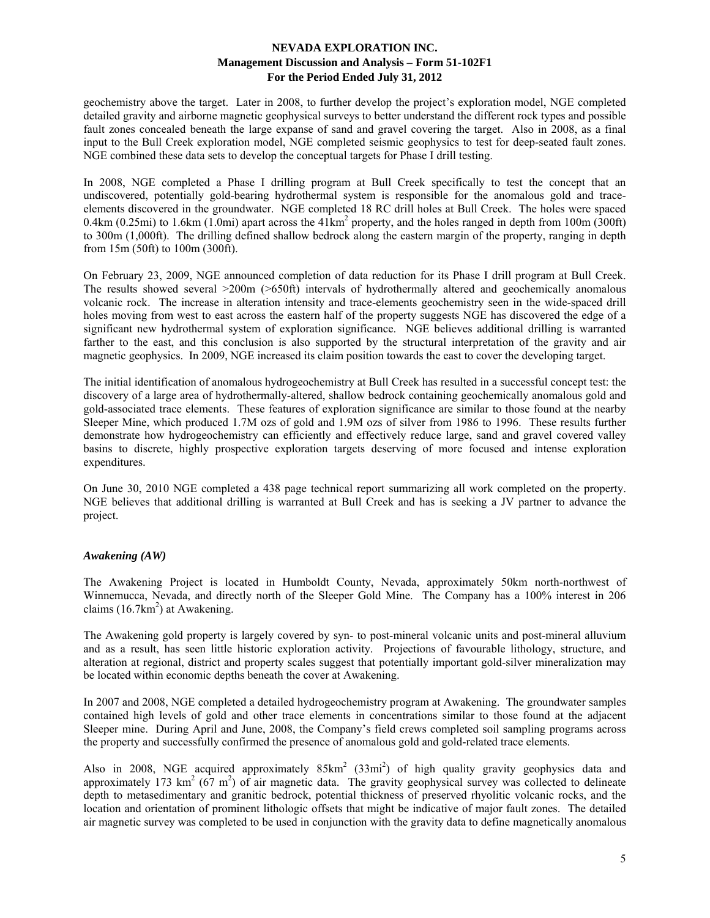geochemistry above the target. Later in 2008, to further develop the project's exploration model, NGE completed detailed gravity and airborne magnetic geophysical surveys to better understand the different rock types and possible fault zones concealed beneath the large expanse of sand and gravel covering the target. Also in 2008, as a final input to the Bull Creek exploration model, NGE completed seismic geophysics to test for deep-seated fault zones. NGE combined these data sets to develop the conceptual targets for Phase I drill testing.

In 2008, NGE completed a Phase I drilling program at Bull Creek specifically to test the concept that an undiscovered, potentially gold-bearing hydrothermal system is responsible for the anomalous gold and traceelements discovered in the groundwater. NGE completed 18 RC drill holes at Bull Creek. The holes were spaced 0.4km (0.25mi) to 1.6km (1.0mi) apart across the  $41 \text{km}^2$  property, and the holes ranged in depth from 100m (300ft) to 300m (1,000ft). The drilling defined shallow bedrock along the eastern margin of the property, ranging in depth from 15m (50ft) to 100m (300ft).

On February 23, 2009, NGE announced completion of data reduction for its Phase I drill program at Bull Creek. The results showed several >200m (>650ft) intervals of hydrothermally altered and geochemically anomalous volcanic rock. The increase in alteration intensity and trace-elements geochemistry seen in the wide-spaced drill holes moving from west to east across the eastern half of the property suggests NGE has discovered the edge of a significant new hydrothermal system of exploration significance. NGE believes additional drilling is warranted farther to the east, and this conclusion is also supported by the structural interpretation of the gravity and air magnetic geophysics. In 2009, NGE increased its claim position towards the east to cover the developing target.

The initial identification of anomalous hydrogeochemistry at Bull Creek has resulted in a successful concept test: the discovery of a large area of hydrothermally-altered, shallow bedrock containing geochemically anomalous gold and gold-associated trace elements. These features of exploration significance are similar to those found at the nearby Sleeper Mine, which produced 1.7M ozs of gold and 1.9M ozs of silver from 1986 to 1996. These results further demonstrate how hydrogeochemistry can efficiently and effectively reduce large, sand and gravel covered valley basins to discrete, highly prospective exploration targets deserving of more focused and intense exploration expenditures.

On June 30, 2010 NGE completed a 438 page technical report summarizing all work completed on the property. NGE believes that additional drilling is warranted at Bull Creek and has is seeking a JV partner to advance the project.

# *Awakening (AW)*

The Awakening Project is located in Humboldt County, Nevada, approximately 50km north-northwest of Winnemucca, Nevada, and directly north of the Sleeper Gold Mine. The Company has a 100% interest in 206 claims  $(16.7 \text{km}^2)$  at Awakening.

The Awakening gold property is largely covered by syn- to post-mineral volcanic units and post-mineral alluvium and as a result, has seen little historic exploration activity. Projections of favourable lithology, structure, and alteration at regional, district and property scales suggest that potentially important gold-silver mineralization may be located within economic depths beneath the cover at Awakening.

In 2007 and 2008, NGE completed a detailed hydrogeochemistry program at Awakening. The groundwater samples contained high levels of gold and other trace elements in concentrations similar to those found at the adjacent Sleeper mine. During April and June, 2008, the Company's field crews completed soil sampling programs across the property and successfully confirmed the presence of anomalous gold and gold-related trace elements.

Also in 2008, NGE acquired approximately  $85 \text{km}^2$  ( $33 \text{mi}^2$ ) of high quality gravity geophysics data and approximately 173 km<sup>2</sup> (67 m<sup>2</sup>) of air magnetic data. The gravity geophysical survey was collected to delineate depth to metasedimentary and granitic bedrock, potential thickness of preserved rhyolitic volcanic rocks, and the location and orientation of prominent lithologic offsets that might be indicative of major fault zones. The detailed air magnetic survey was completed to be used in conjunction with the gravity data to define magnetically anomalous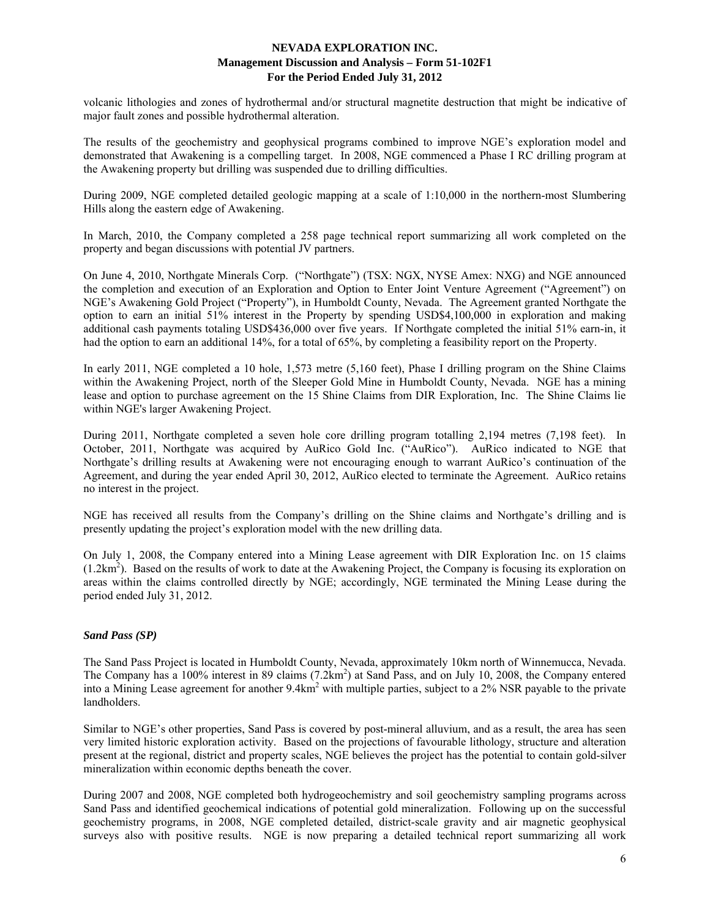volcanic lithologies and zones of hydrothermal and/or structural magnetite destruction that might be indicative of major fault zones and possible hydrothermal alteration.

The results of the geochemistry and geophysical programs combined to improve NGE's exploration model and demonstrated that Awakening is a compelling target. In 2008, NGE commenced a Phase I RC drilling program at the Awakening property but drilling was suspended due to drilling difficulties.

During 2009, NGE completed detailed geologic mapping at a scale of 1:10,000 in the northern-most Slumbering Hills along the eastern edge of Awakening.

In March, 2010, the Company completed a 258 page technical report summarizing all work completed on the property and began discussions with potential JV partners.

On June 4, 2010, Northgate Minerals Corp. ("Northgate") (TSX: NGX, NYSE Amex: NXG) and NGE announced the completion and execution of an Exploration and Option to Enter Joint Venture Agreement ("Agreement") on NGE's Awakening Gold Project ("Property"), in Humboldt County, Nevada. The Agreement granted Northgate the option to earn an initial 51% interest in the Property by spending USD\$4,100,000 in exploration and making additional cash payments totaling USD\$436,000 over five years. If Northgate completed the initial 51% earn-in, it had the option to earn an additional 14%, for a total of 65%, by completing a feasibility report on the Property.

In early 2011, NGE completed a 10 hole, 1,573 metre (5,160 feet), Phase I drilling program on the Shine Claims within the Awakening Project, north of the Sleeper Gold Mine in Humboldt County, Nevada. NGE has a mining lease and option to purchase agreement on the 15 Shine Claims from DIR Exploration, Inc. The Shine Claims lie within NGE's larger Awakening Project.

During 2011, Northgate completed a seven hole core drilling program totalling 2,194 metres (7,198 feet). In October, 2011, Northgate was acquired by AuRico Gold Inc. ("AuRico"). AuRico indicated to NGE that Northgate's drilling results at Awakening were not encouraging enough to warrant AuRico's continuation of the Agreement, and during the year ended April 30, 2012, AuRico elected to terminate the Agreement. AuRico retains no interest in the project.

NGE has received all results from the Company's drilling on the Shine claims and Northgate's drilling and is presently updating the project's exploration model with the new drilling data.

On July 1, 2008, the Company entered into a Mining Lease agreement with DIR Exploration Inc. on 15 claims  $(1.2 \text{km}^2)$ . Based on the results of work to date at the Awakening Project, the Company is focusing its exploration on areas within the claims controlled directly by NGE; accordingly, NGE terminated the Mining Lease during the period ended July 31, 2012.

## *Sand Pass (SP)*

The Sand Pass Project is located in Humboldt County, Nevada, approximately 10km north of Winnemucca, Nevada. The Company has a 100% interest in 89 claims (7.2km<sup>2</sup>) at Sand Pass, and on July 10, 2008, the Company entered into a Mining Lease agreement for another 9.4km<sup>2</sup> with multiple parties, subject to a 2% NSR payable to the private landholders.

Similar to NGE's other properties, Sand Pass is covered by post-mineral alluvium, and as a result, the area has seen very limited historic exploration activity. Based on the projections of favourable lithology, structure and alteration present at the regional, district and property scales, NGE believes the project has the potential to contain gold-silver mineralization within economic depths beneath the cover.

During 2007 and 2008, NGE completed both hydrogeochemistry and soil geochemistry sampling programs across Sand Pass and identified geochemical indications of potential gold mineralization. Following up on the successful geochemistry programs, in 2008, NGE completed detailed, district-scale gravity and air magnetic geophysical surveys also with positive results. NGE is now preparing a detailed technical report summarizing all work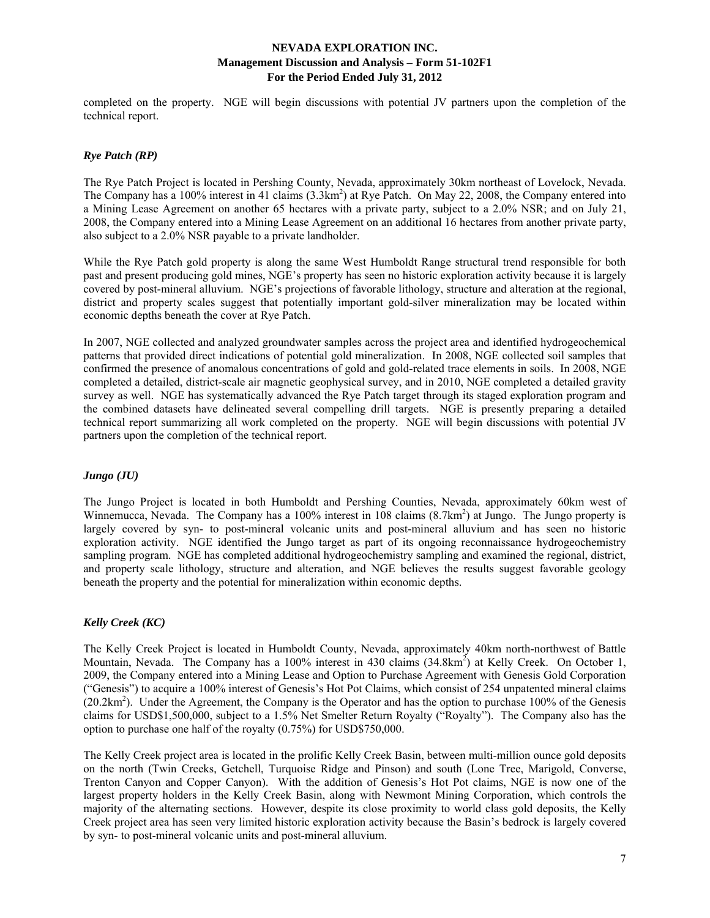completed on the property. NGE will begin discussions with potential JV partners upon the completion of the technical report.

# *Rye Patch (RP)*

The Rye Patch Project is located in Pershing County, Nevada, approximately 30km northeast of Lovelock, Nevada. The Company has a 100% interest in 41 claims (3.3km<sup>2</sup>) at Rye Patch. On May 22, 2008, the Company entered into a Mining Lease Agreement on another 65 hectares with a private party, subject to a 2.0% NSR; and on July 21, 2008, the Company entered into a Mining Lease Agreement on an additional 16 hectares from another private party, also subject to a 2.0% NSR payable to a private landholder.

While the Rye Patch gold property is along the same West Humboldt Range structural trend responsible for both past and present producing gold mines, NGE's property has seen no historic exploration activity because it is largely covered by post-mineral alluvium. NGE's projections of favorable lithology, structure and alteration at the regional, district and property scales suggest that potentially important gold-silver mineralization may be located within economic depths beneath the cover at Rye Patch.

In 2007, NGE collected and analyzed groundwater samples across the project area and identified hydrogeochemical patterns that provided direct indications of potential gold mineralization. In 2008, NGE collected soil samples that confirmed the presence of anomalous concentrations of gold and gold-related trace elements in soils. In 2008, NGE completed a detailed, district-scale air magnetic geophysical survey, and in 2010, NGE completed a detailed gravity survey as well. NGE has systematically advanced the Rye Patch target through its staged exploration program and the combined datasets have delineated several compelling drill targets. NGE is presently preparing a detailed technical report summarizing all work completed on the property. NGE will begin discussions with potential JV partners upon the completion of the technical report.

## *Jungo (JU)*

The Jungo Project is located in both Humboldt and Pershing Counties, Nevada, approximately 60km west of Winnemucca, Nevada. The Company has a 100% interest in 108 claims (8.7km<sup>2</sup>) at Jungo. The Jungo property is largely covered by syn- to post-mineral volcanic units and post-mineral alluvium and has seen no historic exploration activity. NGE identified the Jungo target as part of its ongoing reconnaissance hydrogeochemistry sampling program. NGE has completed additional hydrogeochemistry sampling and examined the regional, district, and property scale lithology, structure and alteration, and NGE believes the results suggest favorable geology beneath the property and the potential for mineralization within economic depths.

## *Kelly Creek (KC)*

The Kelly Creek Project is located in Humboldt County, Nevada, approximately 40km north-northwest of Battle Mountain, Nevada. The Company has a 100% interest in 430 claims  $(34.8 \text{km}^2)$  at Kelly Creek. On October 1, 2009, the Company entered into a Mining Lease and Option to Purchase Agreement with Genesis Gold Corporation ("Genesis") to acquire a 100% interest of Genesis's Hot Pot Claims, which consist of 254 unpatented mineral claims  $(20.2 \text{km}^2)$ . Under the Agreement, the Company is the Operator and has the option to purchase 100% of the Genesis claims for USD\$1,500,000, subject to a 1.5% Net Smelter Return Royalty ("Royalty"). The Company also has the option to purchase one half of the royalty (0.75%) for USD\$750,000.

The Kelly Creek project area is located in the prolific Kelly Creek Basin, between multi-million ounce gold deposits on the north (Twin Creeks, Getchell, Turquoise Ridge and Pinson) and south (Lone Tree, Marigold, Converse, Trenton Canyon and Copper Canyon). With the addition of Genesis's Hot Pot claims, NGE is now one of the largest property holders in the Kelly Creek Basin, along with Newmont Mining Corporation, which controls the majority of the alternating sections. However, despite its close proximity to world class gold deposits, the Kelly Creek project area has seen very limited historic exploration activity because the Basin's bedrock is largely covered by syn- to post-mineral volcanic units and post-mineral alluvium.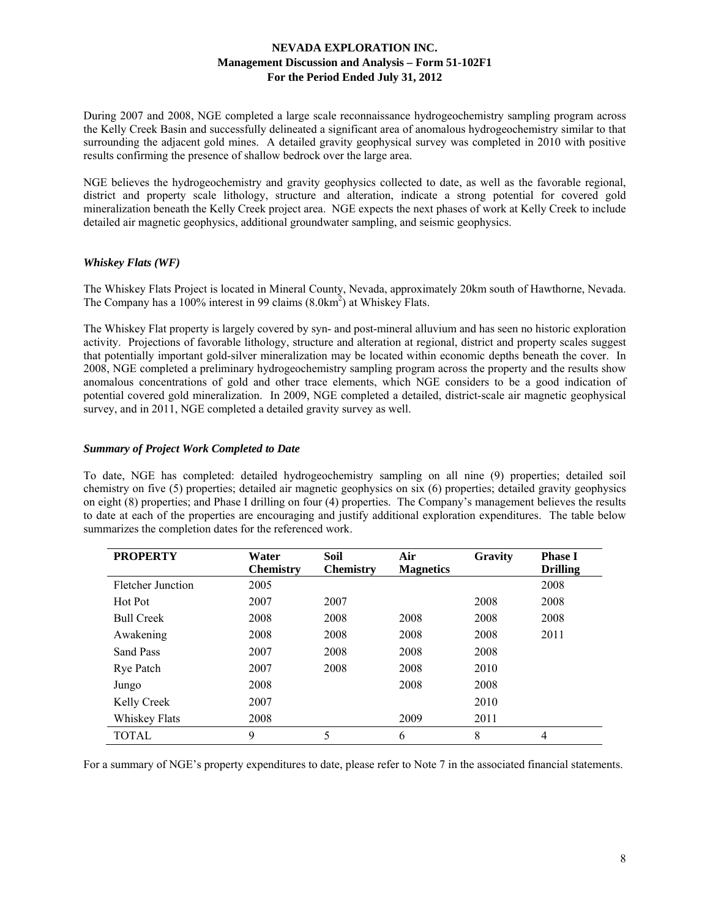During 2007 and 2008, NGE completed a large scale reconnaissance hydrogeochemistry sampling program across the Kelly Creek Basin and successfully delineated a significant area of anomalous hydrogeochemistry similar to that surrounding the adjacent gold mines. A detailed gravity geophysical survey was completed in 2010 with positive results confirming the presence of shallow bedrock over the large area.

NGE believes the hydrogeochemistry and gravity geophysics collected to date, as well as the favorable regional, district and property scale lithology, structure and alteration, indicate a strong potential for covered gold mineralization beneath the Kelly Creek project area. NGE expects the next phases of work at Kelly Creek to include detailed air magnetic geophysics, additional groundwater sampling, and seismic geophysics.

# *Whiskey Flats (WF)*

The Whiskey Flats Project is located in Mineral County, Nevada, approximately 20km south of Hawthorne, Nevada. The Company has a  $100\%$  interest in 99 claims  $(8.0 \text{km}^2)$  at Whiskey Flats.

The Whiskey Flat property is largely covered by syn- and post-mineral alluvium and has seen no historic exploration activity. Projections of favorable lithology, structure and alteration at regional, district and property scales suggest that potentially important gold-silver mineralization may be located within economic depths beneath the cover. In 2008, NGE completed a preliminary hydrogeochemistry sampling program across the property and the results show anomalous concentrations of gold and other trace elements, which NGE considers to be a good indication of potential covered gold mineralization. In 2009, NGE completed a detailed, district-scale air magnetic geophysical survey, and in 2011, NGE completed a detailed gravity survey as well.

## *Summary of Project Work Completed to Date*

To date, NGE has completed: detailed hydrogeochemistry sampling on all nine (9) properties; detailed soil chemistry on five (5) properties; detailed air magnetic geophysics on six (6) properties; detailed gravity geophysics on eight (8) properties; and Phase I drilling on four (4) properties. The Company's management believes the results to date at each of the properties are encouraging and justify additional exploration expenditures. The table below summarizes the completion dates for the referenced work.

| <b>PROPERTY</b>   | Water            | Soil             | Air              | Gravity | <b>Phase I</b>  |
|-------------------|------------------|------------------|------------------|---------|-----------------|
|                   | <b>Chemistry</b> | <b>Chemistry</b> | <b>Magnetics</b> |         | <b>Drilling</b> |
| Fletcher Junction | 2005             |                  |                  |         | 2008            |
| Hot Pot           | 2007             | 2007             |                  | 2008    | 2008            |
| <b>Bull Creek</b> | 2008             | 2008             | 2008             | 2008    | 2008            |
| Awakening         | 2008             | 2008             | 2008             | 2008    | 2011            |
| Sand Pass         | 2007             | 2008             | 2008             | 2008    |                 |
| Rye Patch         | 2007             | 2008             | 2008             | 2010    |                 |
| Jungo             | 2008             |                  | 2008             | 2008    |                 |
| Kelly Creek       | 2007             |                  |                  | 2010    |                 |
| Whiskey Flats     | 2008             |                  | 2009             | 2011    |                 |
| TOTAL             | 9                | 5                | 6                | 8       | 4               |

For a summary of NGE's property expenditures to date, please refer to Note 7 in the associated financial statements.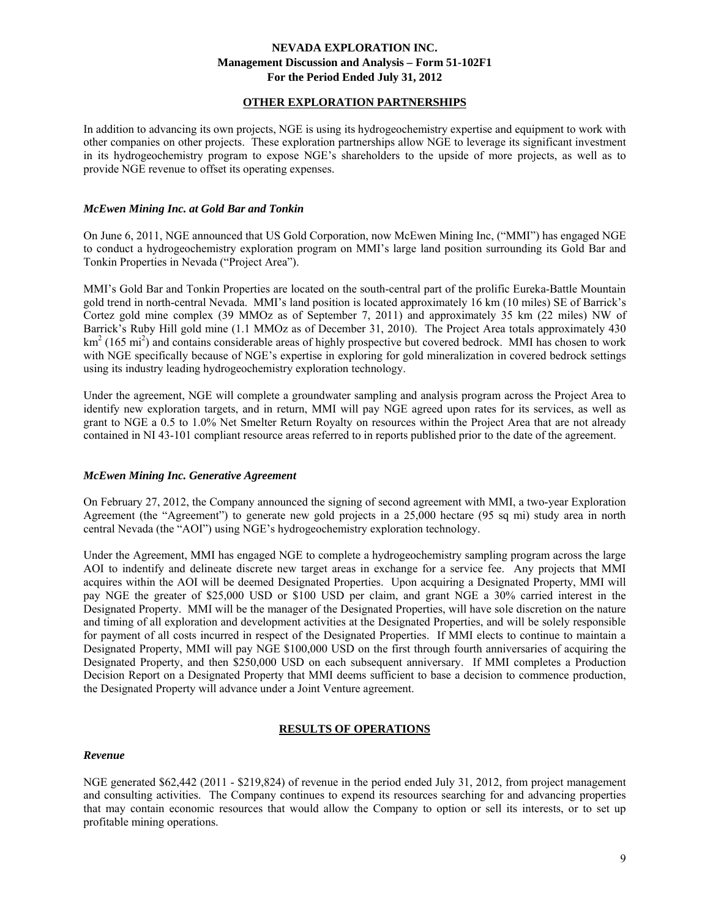# **OTHER EXPLORATION PARTNERSHIPS**

In addition to advancing its own projects, NGE is using its hydrogeochemistry expertise and equipment to work with other companies on other projects. These exploration partnerships allow NGE to leverage its significant investment in its hydrogeochemistry program to expose NGE's shareholders to the upside of more projects, as well as to provide NGE revenue to offset its operating expenses.

### *McEwen Mining Inc. at Gold Bar and Tonkin*

On June 6, 2011, NGE announced that US Gold Corporation, now McEwen Mining Inc, ("MMI") has engaged NGE to conduct a hydrogeochemistry exploration program on MMI's large land position surrounding its Gold Bar and Tonkin Properties in Nevada ("Project Area").

MMI's Gold Bar and Tonkin Properties are located on the south-central part of the prolific Eureka-Battle Mountain gold trend in north-central Nevada. MMI's land position is located approximately 16 km (10 miles) SE of Barrick's Cortez gold mine complex (39 MMOz as of September 7, 2011) and approximately 35 km (22 miles) NW of Barrick's Ruby Hill gold mine (1.1 MMOz as of December 31, 2010). The Project Area totals approximately 430  $km<sup>2</sup>$  (165 mi<sup>2</sup>) and contains considerable areas of highly prospective but covered bedrock. MMI has chosen to work with NGE specifically because of NGE's expertise in exploring for gold mineralization in covered bedrock settings using its industry leading hydrogeochemistry exploration technology.

Under the agreement, NGE will complete a groundwater sampling and analysis program across the Project Area to identify new exploration targets, and in return, MMI will pay NGE agreed upon rates for its services, as well as grant to NGE a 0.5 to 1.0% Net Smelter Return Royalty on resources within the Project Area that are not already contained in NI 43-101 compliant resource areas referred to in reports published prior to the date of the agreement.

## *McEwen Mining Inc. Generative Agreement*

On February 27, 2012, the Company announced the signing of second agreement with MMI, a two-year Exploration Agreement (the "Agreement") to generate new gold projects in a 25,000 hectare (95 sq mi) study area in north central Nevada (the "AOI") using NGE's hydrogeochemistry exploration technology.

Under the Agreement, MMI has engaged NGE to complete a hydrogeochemistry sampling program across the large AOI to indentify and delineate discrete new target areas in exchange for a service fee. Any projects that MMI acquires within the AOI will be deemed Designated Properties. Upon acquiring a Designated Property, MMI will pay NGE the greater of \$25,000 USD or \$100 USD per claim, and grant NGE a 30% carried interest in the Designated Property. MMI will be the manager of the Designated Properties, will have sole discretion on the nature and timing of all exploration and development activities at the Designated Properties, and will be solely responsible for payment of all costs incurred in respect of the Designated Properties. If MMI elects to continue to maintain a Designated Property, MMI will pay NGE \$100,000 USD on the first through fourth anniversaries of acquiring the Designated Property, and then \$250,000 USD on each subsequent anniversary. If MMI completes a Production Decision Report on a Designated Property that MMI deems sufficient to base a decision to commence production, the Designated Property will advance under a Joint Venture agreement.

## **RESULTS OF OPERATIONS**

#### *Revenue*

NGE generated \$62,442 (2011 - \$219,824) of revenue in the period ended July 31, 2012, from project management and consulting activities. The Company continues to expend its resources searching for and advancing properties that may contain economic resources that would allow the Company to option or sell its interests, or to set up profitable mining operations.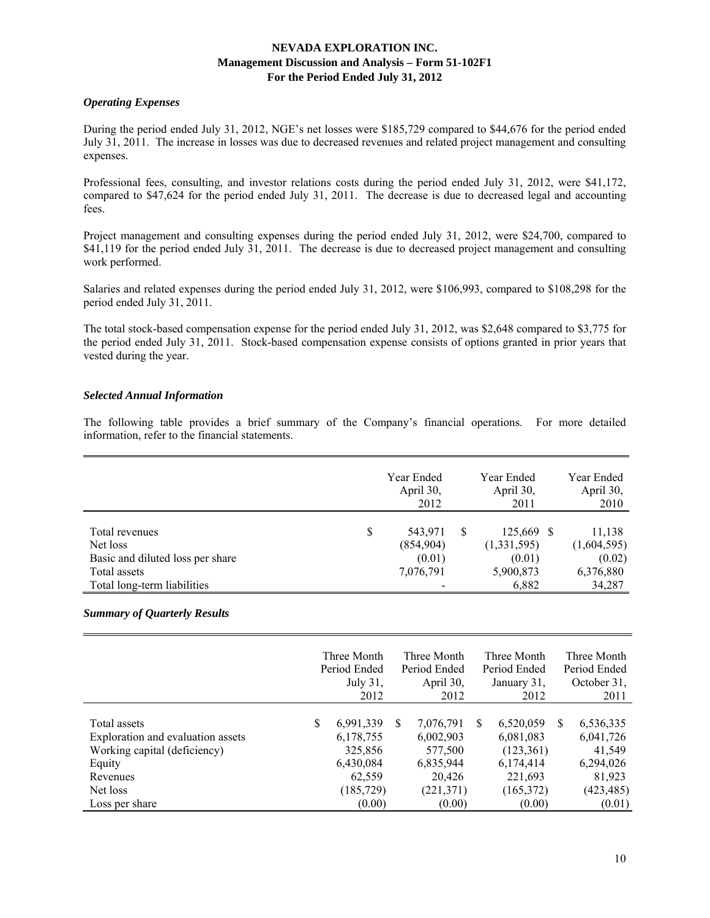## *Operating Expenses*

During the period ended July 31, 2012, NGE's net losses were \$185,729 compared to \$44,676 for the period ended July 31, 2011. The increase in losses was due to decreased revenues and related project management and consulting expenses.

Professional fees, consulting, and investor relations costs during the period ended July 31, 2012, were \$41,172, compared to \$47,624 for the period ended July 31, 2011. The decrease is due to decreased legal and accounting fees.

Project management and consulting expenses during the period ended July 31, 2012, were \$24,700, compared to \$41,119 for the period ended July 31, 2011. The decrease is due to decreased project management and consulting work performed.

Salaries and related expenses during the period ended July 31, 2012, were \$106,993, compared to \$108,298 for the period ended July 31, 2011.

The total stock-based compensation expense for the period ended July 31, 2012, was \$2,648 compared to \$3,775 for the period ended July 31, 2011. Stock-based compensation expense consists of options granted in prior years that vested during the year.

## *Selected Annual Information*

The following table provides a brief summary of the Company's financial operations. For more detailed information, refer to the financial statements.

|                                  | Year Ended<br>April 30,<br>2012 |   | Year Ended<br>April 30,<br>2011 | Year Ended<br>April 30,<br>2010 |
|----------------------------------|---------------------------------|---|---------------------------------|---------------------------------|
| Total revenues                   | 543,971                         | S | 125,669 \$                      | 11,138                          |
| Net loss                         | (854,904)                       |   | (1,331,595)                     | (1,604,595)                     |
| Basic and diluted loss per share | (0.01)                          |   | (0.01)                          | (0.02)                          |
| Total assets                     | 7,076,791                       |   | 5,900,873                       | 6,376,880                       |
| Total long-term liabilities      |                                 |   | 6,882                           | 34,287                          |

## *Summary of Quarterly Results*

|                                                                                                                                       |   | Three Month<br>Period Ended<br>July 31,<br>2012                                  |          | Three Month<br>Period Ended<br>April 30,<br>2012                                 |   | Three Month<br>Period Ended<br>January 31,<br>2012                                   |    | Three Month<br>Period Ended<br>October 31,<br>2011                              |
|---------------------------------------------------------------------------------------------------------------------------------------|---|----------------------------------------------------------------------------------|----------|----------------------------------------------------------------------------------|---|--------------------------------------------------------------------------------------|----|---------------------------------------------------------------------------------|
| Total assets<br>Exploration and evaluation assets<br>Working capital (deficiency)<br>Equity<br>Revenues<br>Net loss<br>Loss per share | S | 6,991,339<br>6,178,755<br>325,856<br>6,430,084<br>62,559<br>(185, 729)<br>(0.00) | <b>S</b> | 7,076,791<br>6,002,903<br>577,500<br>6,835,944<br>20,426<br>(221, 371)<br>(0.00) | S | 6,520,059<br>6,081,083<br>(123, 361)<br>6,174,414<br>221,693<br>(165, 372)<br>(0.00) | -S | 6,536,335<br>6,041,726<br>41,549<br>6,294,026<br>81,923<br>(423, 485)<br>(0.01) |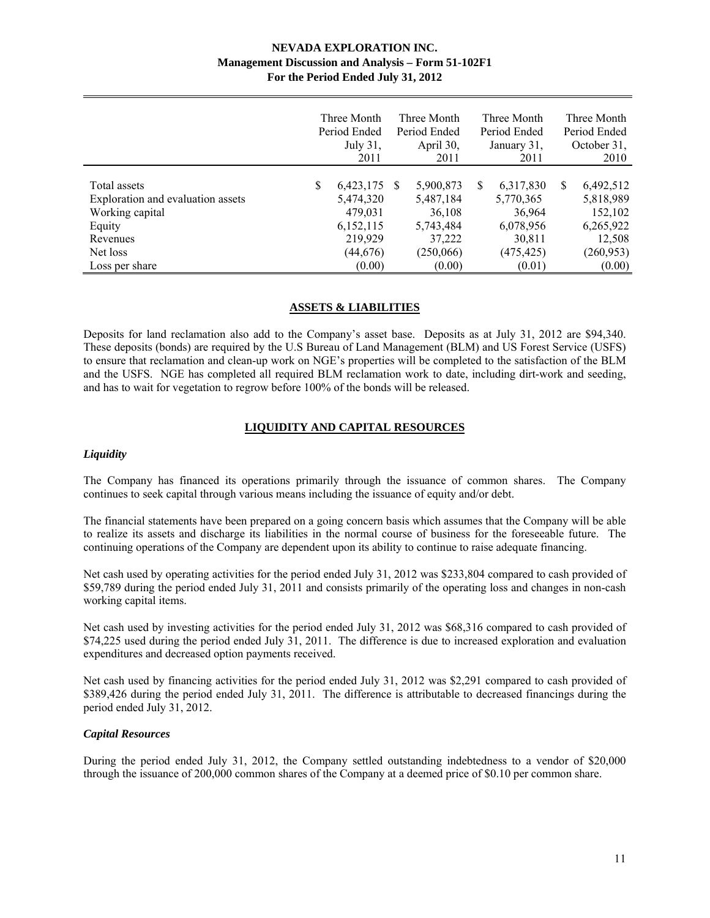|                                                                                                                          |     | Three Month<br>Period Ended<br>July 31,<br>2011                                       | Three Month<br>Period Ended<br>April 30,<br>2011                               |     | Three Month<br>Period Ended<br>January 31,<br>2011                              |    | Three Month<br>Period Ended<br>October 31,<br>2010                               |
|--------------------------------------------------------------------------------------------------------------------------|-----|---------------------------------------------------------------------------------------|--------------------------------------------------------------------------------|-----|---------------------------------------------------------------------------------|----|----------------------------------------------------------------------------------|
| Total assets<br>Exploration and evaluation assets<br>Working capital<br>Equity<br>Revenues<br>Net loss<br>Loss per share | \$. | $6,423,175$ \$<br>5,474,320<br>479,031<br>6,152,115<br>219,929<br>(44, 676)<br>(0.00) | 5,900,873<br>5,487,184<br>36,108<br>5,743,484<br>37,222<br>(250,066)<br>(0.00) | \$. | 6,317,830<br>5,770,365<br>36,964<br>6,078,956<br>30,811<br>(475, 425)<br>(0.01) | S. | 6,492,512<br>5,818,989<br>152,102<br>6,265,922<br>12,508<br>(260, 953)<br>(0.00) |

## **ASSETS & LIABILITIES**

Deposits for land reclamation also add to the Company's asset base. Deposits as at July 31, 2012 are \$94,340. These deposits (bonds) are required by the U.S Bureau of Land Management (BLM) and US Forest Service (USFS) to ensure that reclamation and clean-up work on NGE's properties will be completed to the satisfaction of the BLM and the USFS. NGE has completed all required BLM reclamation work to date, including dirt-work and seeding, and has to wait for vegetation to regrow before 100% of the bonds will be released.

## **LIQUIDITY AND CAPITAL RESOURCES**

#### *Liquidity*

The Company has financed its operations primarily through the issuance of common shares. The Company continues to seek capital through various means including the issuance of equity and/or debt.

The financial statements have been prepared on a going concern basis which assumes that the Company will be able to realize its assets and discharge its liabilities in the normal course of business for the foreseeable future. The continuing operations of the Company are dependent upon its ability to continue to raise adequate financing.

Net cash used by operating activities for the period ended July 31, 2012 was \$233,804 compared to cash provided of \$59,789 during the period ended July 31, 2011 and consists primarily of the operating loss and changes in non-cash working capital items.

Net cash used by investing activities for the period ended July 31, 2012 was \$68,316 compared to cash provided of \$74,225 used during the period ended July 31, 2011. The difference is due to increased exploration and evaluation expenditures and decreased option payments received.

Net cash used by financing activities for the period ended July 31, 2012 was \$2,291 compared to cash provided of \$389,426 during the period ended July 31, 2011. The difference is attributable to decreased financings during the period ended July 31, 2012.

## *Capital Resources*

During the period ended July 31, 2012, the Company settled outstanding indebtedness to a vendor of \$20,000 through the issuance of 200,000 common shares of the Company at a deemed price of \$0.10 per common share.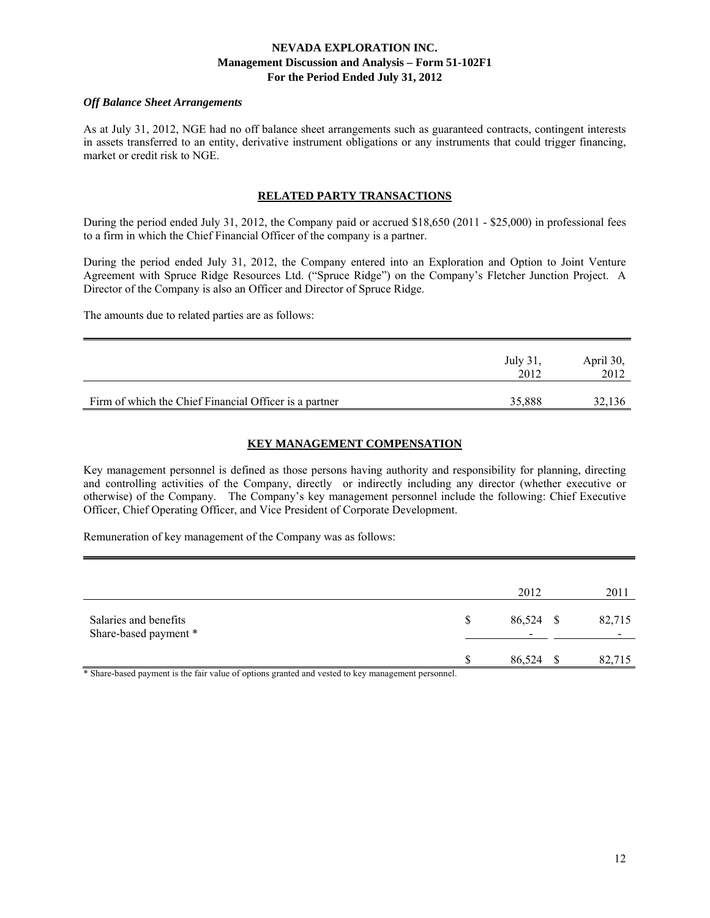### *Off Balance Sheet Arrangements*

As at July 31, 2012, NGE had no off balance sheet arrangements such as guaranteed contracts, contingent interests in assets transferred to an entity, derivative instrument obligations or any instruments that could trigger financing, market or credit risk to NGE.

### **RELATED PARTY TRANSACTIONS**

During the period ended July 31, 2012, the Company paid or accrued \$18,650 (2011 - \$25,000) in professional fees to a firm in which the Chief Financial Officer of the company is a partner.

During the period ended July 31, 2012, the Company entered into an Exploration and Option to Joint Venture Agreement with Spruce Ridge Resources Ltd. ("Spruce Ridge") on the Company's Fletcher Junction Project. A Director of the Company is also an Officer and Director of Spruce Ridge.

The amounts due to related parties are as follows:

|                                                        | July 31<br>2012 | April 30,<br>2012 |
|--------------------------------------------------------|-----------------|-------------------|
| Firm of which the Chief Financial Officer is a partner | 35,888          | 32,136            |

# **KEY MANAGEMENT COMPENSATION**

Key management personnel is defined as those persons having authority and responsibility for planning, directing and controlling activities of the Company, directly or indirectly including any director (whether executive or otherwise) of the Company. The Company's key management personnel include the following: Chief Executive Officer, Chief Operating Officer, and Vice President of Corporate Development.

Remuneration of key management of the Company was as follows:

|                                                                                                   |   | 2012                                  | 2011        |
|---------------------------------------------------------------------------------------------------|---|---------------------------------------|-------------|
| Salaries and benefits<br>Share-based payment *                                                    | S | 86,524 \$<br>$\overline{\phantom{0}}$ | 82,715<br>- |
|                                                                                                   | S | 86,524                                | 82,715      |
| * Chana hazed normant is the fair value of ontions arented and vested to leav monogement norsenad |   |                                       |             |

\* Share-based payment is the fair value of options granted and vested to key management personnel.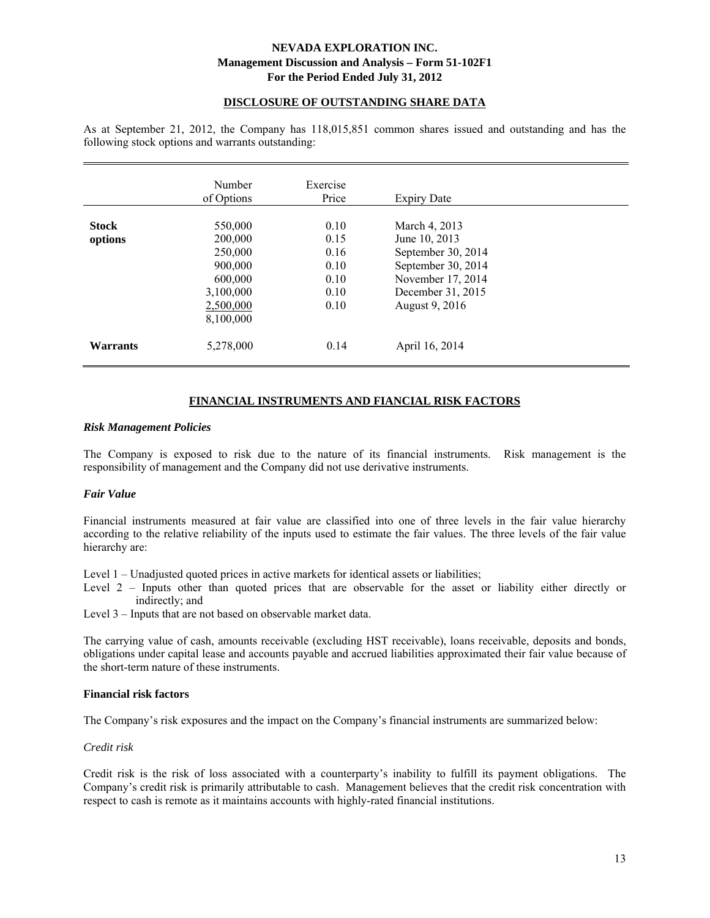## **DISCLOSURE OF OUTSTANDING SHARE DATA**

|                         | Number<br>of Options                                                                       | Exercise<br>Price                                    | <b>Expiry Date</b>                                                                                                                     |  |
|-------------------------|--------------------------------------------------------------------------------------------|------------------------------------------------------|----------------------------------------------------------------------------------------------------------------------------------------|--|
| <b>Stock</b><br>options | 550,000<br>200,000<br>250,000<br>900,000<br>600,000<br>3,100,000<br>2,500,000<br>8,100,000 | 0.10<br>0.15<br>0.16<br>0.10<br>0.10<br>0.10<br>0.10 | March 4, 2013<br>June 10, 2013<br>September 30, 2014<br>September 30, 2014<br>November 17, 2014<br>December 31, 2015<br>August 9, 2016 |  |
| <b>Warrants</b>         | 5,278,000                                                                                  | 0.14                                                 | April 16, 2014                                                                                                                         |  |

As at September 21, 2012, the Company has 118,015,851 common shares issued and outstanding and has the following stock options and warrants outstanding:

# **FINANCIAL INSTRUMENTS AND FIANCIAL RISK FACTORS**

#### *Risk Management Policies*

The Company is exposed to risk due to the nature of its financial instruments. Risk management is the responsibility of management and the Company did not use derivative instruments.

## *Fair Value*

Financial instruments measured at fair value are classified into one of three levels in the fair value hierarchy according to the relative reliability of the inputs used to estimate the fair values. The three levels of the fair value hierarchy are:

Level 1 – Unadjusted quoted prices in active markets for identical assets or liabilities;

- Level 2 Inputs other than quoted prices that are observable for the asset or liability either directly or indirectly; and
- Level 3 Inputs that are not based on observable market data.

The carrying value of cash, amounts receivable (excluding HST receivable), loans receivable, deposits and bonds, obligations under capital lease and accounts payable and accrued liabilities approximated their fair value because of the short-term nature of these instruments.

#### **Financial risk factors**

The Company's risk exposures and the impact on the Company's financial instruments are summarized below:

#### *Credit risk*

Credit risk is the risk of loss associated with a counterparty's inability to fulfill its payment obligations. The Company's credit risk is primarily attributable to cash. Management believes that the credit risk concentration with respect to cash is remote as it maintains accounts with highly-rated financial institutions.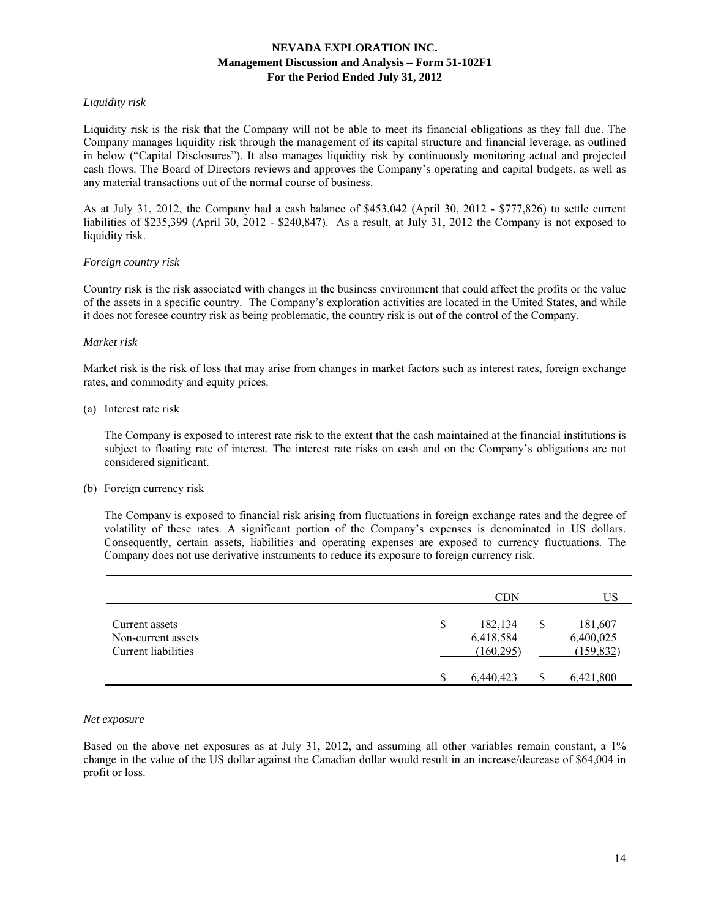## *Liquidity risk*

Liquidity risk is the risk that the Company will not be able to meet its financial obligations as they fall due. The Company manages liquidity risk through the management of its capital structure and financial leverage, as outlined in below ("Capital Disclosures"). It also manages liquidity risk by continuously monitoring actual and projected cash flows. The Board of Directors reviews and approves the Company's operating and capital budgets, as well as any material transactions out of the normal course of business.

As at July 31, 2012, the Company had a cash balance of \$453,042 (April 30, 2012 - \$777,826) to settle current liabilities of \$235,399 (April 30, 2012 - \$240,847). As a result, at July 31, 2012 the Company is not exposed to liquidity risk.

#### *Foreign country risk*

Country risk is the risk associated with changes in the business environment that could affect the profits or the value of the assets in a specific country. The Company's exploration activities are located in the United States, and while it does not foresee country risk as being problematic, the country risk is out of the control of the Company.

#### *Market risk*

Market risk is the risk of loss that may arise from changes in market factors such as interest rates, foreign exchange rates, and commodity and equity prices.

### (a) Interest rate risk

 The Company is exposed to interest rate risk to the extent that the cash maintained at the financial institutions is subject to floating rate of interest. The interest rate risks on cash and on the Company's obligations are not considered significant.

#### (b) Foreign currency risk

 The Company is exposed to financial risk arising from fluctuations in foreign exchange rates and the degree of volatility of these rates. A significant portion of the Company's expenses is denominated in US dollars. Consequently, certain assets, liabilities and operating expenses are exposed to currency fluctuations. The Company does not use derivative instruments to reduce its exposure to foreign currency risk.

|                                                             | <b>CDN</b>                               | US                                       |
|-------------------------------------------------------------|------------------------------------------|------------------------------------------|
| Current assets<br>Non-current assets<br>Current liabilities | \$<br>182,134<br>6,418,584<br>(160, 295) | \$<br>181,607<br>6,400,025<br>(159, 832) |
|                                                             | 6,440,423                                | 6,421,800                                |

#### *Net exposure*

Based on the above net exposures as at July 31, 2012, and assuming all other variables remain constant, a 1% change in the value of the US dollar against the Canadian dollar would result in an increase/decrease of \$64,004 in profit or loss.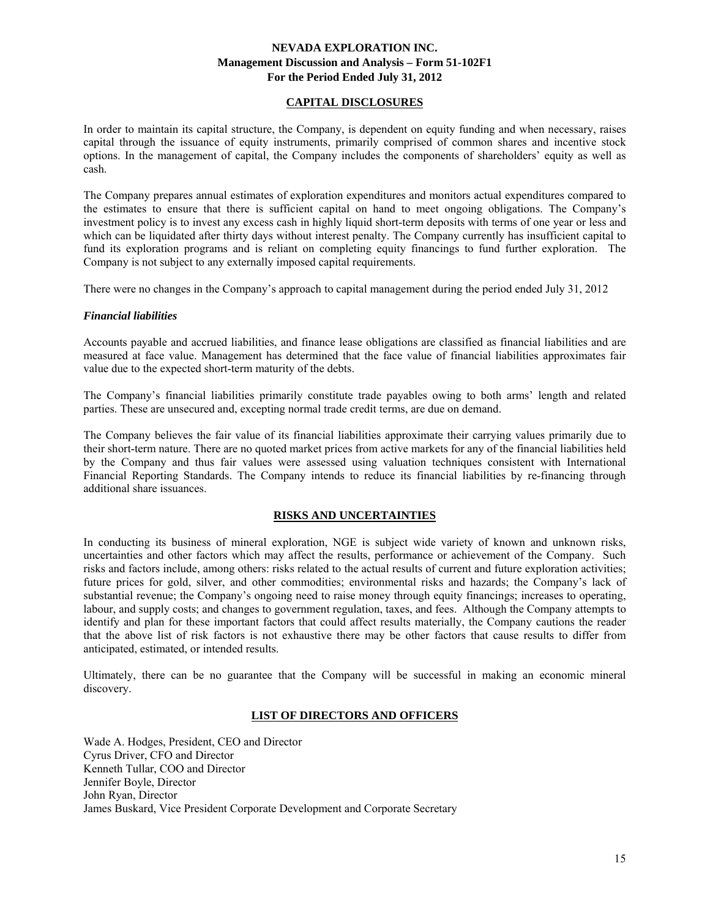# **CAPITAL DISCLOSURES**

In order to maintain its capital structure, the Company, is dependent on equity funding and when necessary, raises capital through the issuance of equity instruments, primarily comprised of common shares and incentive stock options. In the management of capital, the Company includes the components of shareholders' equity as well as cash.

The Company prepares annual estimates of exploration expenditures and monitors actual expenditures compared to the estimates to ensure that there is sufficient capital on hand to meet ongoing obligations. The Company's investment policy is to invest any excess cash in highly liquid short-term deposits with terms of one year or less and which can be liquidated after thirty days without interest penalty. The Company currently has insufficient capital to fund its exploration programs and is reliant on completing equity financings to fund further exploration. The Company is not subject to any externally imposed capital requirements.

There were no changes in the Company's approach to capital management during the period ended July 31, 2012

#### *Financial liabilities*

Accounts payable and accrued liabilities, and finance lease obligations are classified as financial liabilities and are measured at face value. Management has determined that the face value of financial liabilities approximates fair value due to the expected short-term maturity of the debts.

The Company's financial liabilities primarily constitute trade payables owing to both arms' length and related parties. These are unsecured and, excepting normal trade credit terms, are due on demand.

The Company believes the fair value of its financial liabilities approximate their carrying values primarily due to their short-term nature. There are no quoted market prices from active markets for any of the financial liabilities held by the Company and thus fair values were assessed using valuation techniques consistent with International Financial Reporting Standards. The Company intends to reduce its financial liabilities by re-financing through additional share issuances.

# **RISKS AND UNCERTAINTIES**

In conducting its business of mineral exploration, NGE is subject wide variety of known and unknown risks, uncertainties and other factors which may affect the results, performance or achievement of the Company. Such risks and factors include, among others: risks related to the actual results of current and future exploration activities; future prices for gold, silver, and other commodities; environmental risks and hazards; the Company's lack of substantial revenue; the Company's ongoing need to raise money through equity financings; increases to operating, labour, and supply costs; and changes to government regulation, taxes, and fees. Although the Company attempts to identify and plan for these important factors that could affect results materially, the Company cautions the reader that the above list of risk factors is not exhaustive there may be other factors that cause results to differ from anticipated, estimated, or intended results.

Ultimately, there can be no guarantee that the Company will be successful in making an economic mineral discovery.

## **LIST OF DIRECTORS AND OFFICERS**

Wade A. Hodges, President, CEO and Director Cyrus Driver, CFO and Director Kenneth Tullar, COO and Director Jennifer Boyle, Director John Ryan, Director James Buskard, Vice President Corporate Development and Corporate Secretary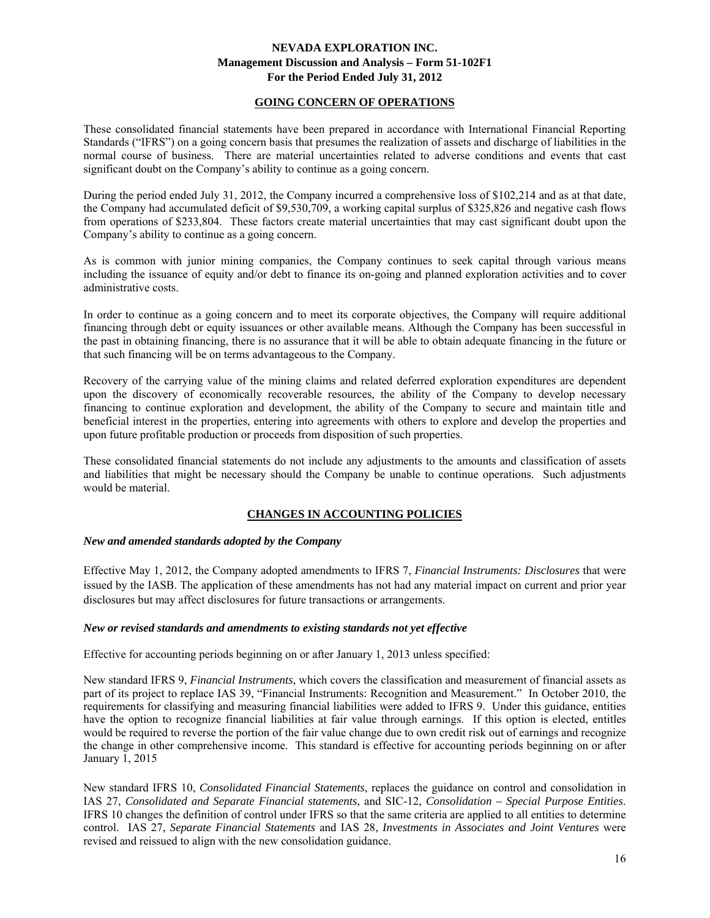## **GOING CONCERN OF OPERATIONS**

These consolidated financial statements have been prepared in accordance with International Financial Reporting Standards ("IFRS") on a going concern basis that presumes the realization of assets and discharge of liabilities in the normal course of business. There are material uncertainties related to adverse conditions and events that cast significant doubt on the Company's ability to continue as a going concern.

During the period ended July 31, 2012, the Company incurred a comprehensive loss of \$102,214 and as at that date, the Company had accumulated deficit of \$9,530,709, a working capital surplus of \$325,826 and negative cash flows from operations of \$233,804. These factors create material uncertainties that may cast significant doubt upon the Company's ability to continue as a going concern.

As is common with junior mining companies, the Company continues to seek capital through various means including the issuance of equity and/or debt to finance its on-going and planned exploration activities and to cover administrative costs.

In order to continue as a going concern and to meet its corporate objectives, the Company will require additional financing through debt or equity issuances or other available means. Although the Company has been successful in the past in obtaining financing, there is no assurance that it will be able to obtain adequate financing in the future or that such financing will be on terms advantageous to the Company.

Recovery of the carrying value of the mining claims and related deferred exploration expenditures are dependent upon the discovery of economically recoverable resources, the ability of the Company to develop necessary financing to continue exploration and development, the ability of the Company to secure and maintain title and beneficial interest in the properties, entering into agreements with others to explore and develop the properties and upon future profitable production or proceeds from disposition of such properties.

These consolidated financial statements do not include any adjustments to the amounts and classification of assets and liabilities that might be necessary should the Company be unable to continue operations. Such adjustments would be material.

## **CHANGES IN ACCOUNTING POLICIES**

## *New and amended standards adopted by the Company*

Effective May 1, 2012, the Company adopted amendments to IFRS 7, *Financial Instruments: Disclosures* that were issued by the IASB. The application of these amendments has not had any material impact on current and prior year disclosures but may affect disclosures for future transactions or arrangements.

## *New or revised standards and amendments to existing standards not yet effective*

Effective for accounting periods beginning on or after January 1, 2013 unless specified:

New standard IFRS 9, *Financial Instruments*, which covers the classification and measurement of financial assets as part of its project to replace IAS 39, "Financial Instruments: Recognition and Measurement." In October 2010, the requirements for classifying and measuring financial liabilities were added to IFRS 9. Under this guidance, entities have the option to recognize financial liabilities at fair value through earnings. If this option is elected, entitles would be required to reverse the portion of the fair value change due to own credit risk out of earnings and recognize the change in other comprehensive income. This standard is effective for accounting periods beginning on or after January 1, 2015

New standard IFRS 10, *Consolidated Financial Statements*, replaces the guidance on control and consolidation in IAS 27, *Consolidated and Separate Financial statements*, and SIC-12, *Consolidation – Special Purpose Entities*. IFRS 10 changes the definition of control under IFRS so that the same criteria are applied to all entities to determine control. IAS 27, *Separate Financial Statements* and IAS 28, *Investments in Associates and Joint Ventures* were revised and reissued to align with the new consolidation guidance.